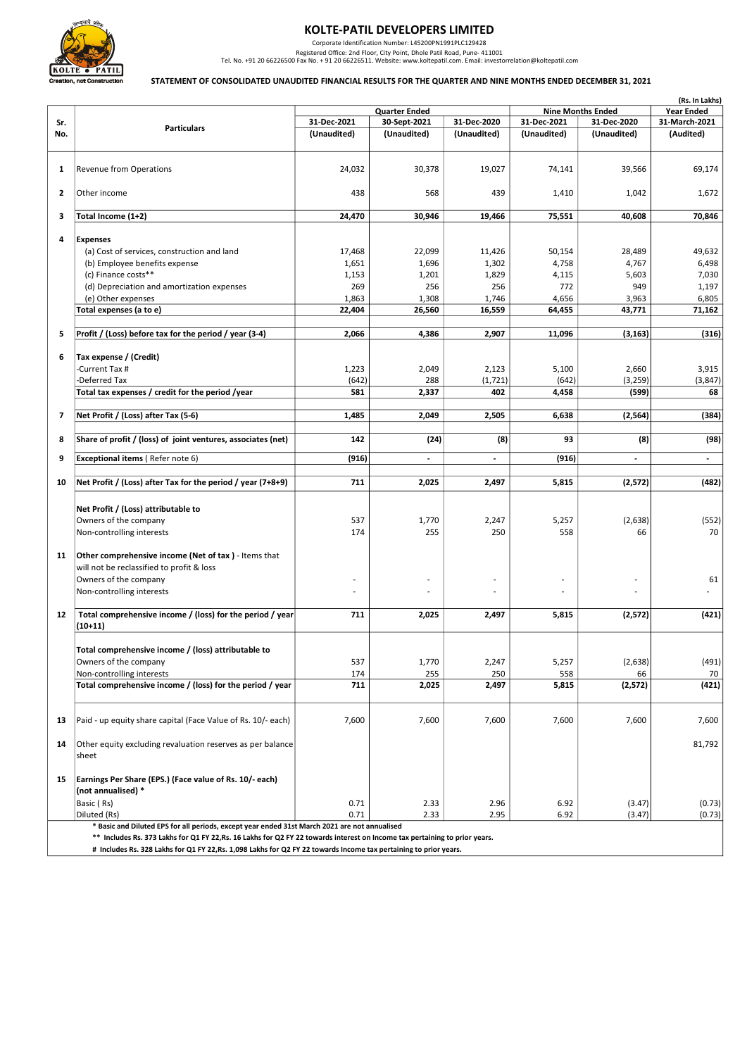

## KOLTE-PATIL DEVELOPERS LIMITED

Corporate Identification Number: L45200PN1991PLC129428<br>Registered Office: 2nd Floor, City Point, Dhole Paril Road, Pune- 411001<br>Tel. No. +91 20 66226500 Fax No. +91 20 66226511. Website: www.koltepatil.com. Email: investor

## STATEMENT OF CONSOLIDATED UNAUDITED FINANCIAL RESULTS FOR THE QUARTER AND NINE MONTHS ENDED DECEMBER 31, 2021

|     |                                                                                               |             |                          |                          |             |                                               | (Rs. In Lakhs) |
|-----|-----------------------------------------------------------------------------------------------|-------------|--------------------------|--------------------------|-------------|-----------------------------------------------|----------------|
|     |                                                                                               |             | <b>Quarter Ended</b>     |                          |             | <b>Nine Months Ended</b><br><b>Year Ended</b> |                |
| Sr. | <b>Particulars</b>                                                                            | 31-Dec-2021 | 30-Sept-2021             | 31-Dec-2020              | 31-Dec-2021 | 31-Dec-2020                                   | 31-March-2021  |
| No. |                                                                                               | (Unaudited) | (Unaudited)              | (Unaudited)              | (Unaudited) | (Unaudited)                                   | (Audited)      |
|     |                                                                                               |             |                          |                          |             |                                               |                |
|     |                                                                                               |             |                          |                          |             |                                               |                |
| 1   | Revenue from Operations                                                                       | 24,032      | 30,378                   | 19,027                   | 74,141      | 39,566                                        | 69,174         |
| 2   | Other income                                                                                  | 438         | 568                      | 439                      | 1,410       | 1,042                                         | 1,672          |
|     |                                                                                               |             |                          |                          |             |                                               |                |
| 3   | Total Income (1+2)                                                                            | 24,470      | 30,946                   | 19,466                   | 75,551      | 40,608                                        | 70,846         |
| 4   | <b>Expenses</b>                                                                               |             |                          |                          |             |                                               |                |
|     | (a) Cost of services, construction and land                                                   | 17,468      | 22,099                   | 11,426                   | 50,154      | 28,489                                        | 49,632         |
|     | (b) Employee benefits expense                                                                 | 1,651       | 1,696                    | 1,302                    | 4,758       | 4,767                                         | 6,498          |
|     | (c) Finance costs**                                                                           | 1,153       | 1,201                    | 1,829                    | 4,115       | 5,603                                         | 7,030          |
|     | (d) Depreciation and amortization expenses                                                    | 269         | 256                      | 256                      | 772         | 949                                           | 1,197          |
|     |                                                                                               |             |                          |                          |             |                                               |                |
|     | (e) Other expenses                                                                            | 1,863       | 1,308                    | 1,746                    | 4,656       | 3,963                                         | 6,805          |
|     | Total expenses (a to e)                                                                       | 22,404      | 26,560                   | 16,559                   | 64,455      | 43,771                                        | 71,162         |
|     |                                                                                               |             |                          |                          |             |                                               |                |
| 5   | Profit / (Loss) before tax for the period / year (3-4)                                        | 2,066       | 4,386                    | 2,907                    | 11,096      | (3, 163)                                      | (316)          |
| 6   | Tax expense / (Credit)                                                                        |             |                          |                          |             |                                               |                |
|     | -Current Tax #                                                                                | 1,223       | 2,049                    | 2,123                    | 5,100       | 2,660                                         | 3,915          |
|     | -Deferred Tax                                                                                 | (642)       | 288                      | (1, 721)                 | (642)       | (3, 259)                                      | (3, 847)       |
|     |                                                                                               | 581         |                          | 402                      |             | (599)                                         | 68             |
|     | Total tax expenses / credit for the period /year                                              |             | 2,337                    |                          | 4,458       |                                               |                |
| 7   | Net Profit / (Loss) after Tax (5-6)                                                           | 1,485       | 2,049                    | 2,505                    | 6,638       | (2,564)                                       | (384)          |
| 8   | Share of profit / (loss) of joint ventures, associates (net)                                  | 142         | (24)                     | (8)                      | 93          | (8)                                           | (98)           |
|     |                                                                                               |             |                          |                          |             |                                               |                |
| 9   | Exceptional items (Refer note 6)                                                              | (916)       | $\overline{\phantom{a}}$ | $\overline{\phantom{a}}$ | (916)       | $\blacksquare$                                | $\blacksquare$ |
| 10  | Net Profit / (Loss) after Tax for the period / year (7+8+9)                                   | 711         | 2,025                    | 2,497                    | 5,815       | (2,572)                                       | (482)          |
|     |                                                                                               |             |                          |                          |             |                                               |                |
|     | Net Profit / (Loss) attributable to                                                           |             |                          |                          |             |                                               |                |
|     | Owners of the company                                                                         | 537         | 1,770                    | 2,247                    |             |                                               |                |
|     |                                                                                               |             |                          |                          | 5,257       | (2,638)                                       | (552)          |
|     | Non-controlling interests                                                                     | 174         | 255                      | 250                      | 558         | 66                                            | 70             |
|     |                                                                                               |             |                          |                          |             |                                               |                |
| 11  | Other comprehensive income (Net of tax) - Items that                                          |             |                          |                          |             |                                               |                |
|     | will not be reclassified to profit & loss                                                     |             |                          |                          |             |                                               |                |
|     | Owners of the company                                                                         |             |                          |                          |             |                                               | 61             |
|     | Non-controlling interests                                                                     |             |                          |                          |             |                                               |                |
|     |                                                                                               |             |                          |                          |             |                                               |                |
| 12  | Total comprehensive income / (loss) for the period / year                                     | 711         | 2,025                    | 2,497                    | 5,815       | (2,572)                                       | (421)          |
|     | $(10+11)$                                                                                     |             |                          |                          |             |                                               |                |
|     |                                                                                               |             |                          |                          |             |                                               |                |
|     | Total comprehensive income / (loss) attributable to                                           |             |                          |                          |             |                                               |                |
|     | Owners of the company                                                                         | 537         | 1,770                    | 2,247                    | 5,257       | (2,638)                                       | (491)          |
|     | Non-controlling interests                                                                     | 174         | 255                      | 250                      | 558         | 66                                            | 70             |
|     | Total comprehensive income / (loss) for the period / year                                     | 711         | 2,025                    | 2,497                    | 5,815       | (2,572)                                       | (421)          |
|     |                                                                                               |             |                          |                          |             |                                               |                |
| 13  | Paid - up equity share capital (Face Value of Rs. 10/- each)                                  | 7,600       | 7,600                    | 7,600                    | 7,600       | 7,600                                         | 7,600          |
|     |                                                                                               |             |                          |                          |             |                                               |                |
| 14  | Other equity excluding revaluation reserves as per balance                                    |             |                          |                          |             |                                               | 81,792         |
|     |                                                                                               |             |                          |                          |             |                                               |                |
|     | sheet                                                                                         |             |                          |                          |             |                                               |                |
|     |                                                                                               |             |                          |                          |             |                                               |                |
| 15  | Earnings Per Share (EPS.) (Face value of Rs. 10/- each)                                       |             |                          |                          |             |                                               |                |
|     | (not annualised) *                                                                            |             |                          |                          |             |                                               |                |
|     | Basic (Rs)                                                                                    | 0.71        | 2.33                     | 2.96                     | 6.92        | (3.47)                                        | (0.73)         |
|     | Diluted (Rs)                                                                                  | 0.71        | 2.33                     | 2.95                     | 6.92        | (3.47)                                        | (0.73)         |
|     | * Basic and Diluted EPS for all periods, except year ended 31st March 2021 are not annualised |             |                          |                          |             |                                               |                |

Includes Rs. 373 Lakhs for Q1 FY 22,Rs. 16 Lakhs for Q2 FY 22 towards interest on Income tax pertaining to prior years.

# Includes Rs. 328 Lakhs for Q1 FY 22,Rs. 1,098 Lakhs for Q2 FY 22 towards Income tax pertaining to prior years.